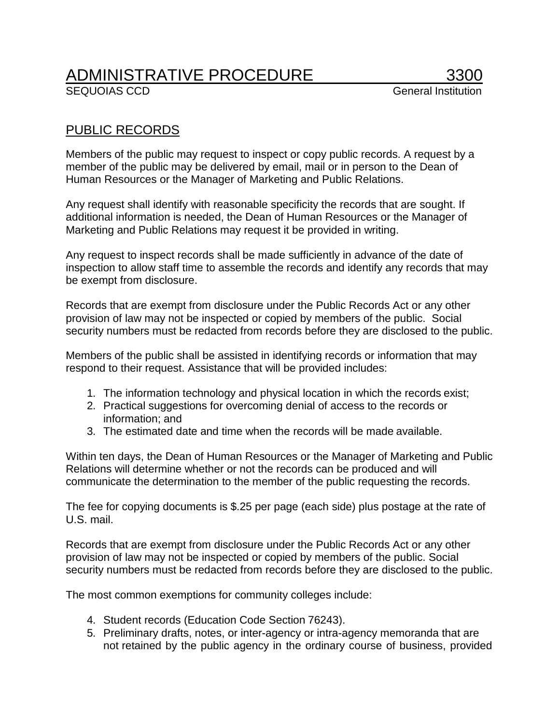## ADMINISTRATIVE PROCEDURE 3300<br>SEQUOIAS CCD General Institution

## PUBLIC RECORDS

Members of the public may request to inspect or copy public records. A request by a member of the public may be delivered by email, mail or in person to the Dean of Human Resources or the Manager of Marketing and Public Relations.

Any request shall identify with reasonable specificity the records that are sought. If additional information is needed, the Dean of Human Resources or the Manager of Marketing and Public Relations may request it be provided in writing.

Any request to inspect records shall be made sufficiently in advance of the date of inspection to allow staff time to assemble the records and identify any records that may be exempt from disclosure.

Records that are exempt from disclosure under the Public Records Act or any other provision of law may not be inspected or copied by members of the public. Social security numbers must be redacted from records before they are disclosed to the public.

Members of the public shall be assisted in identifying records or information that may respond to their request. Assistance that will be provided includes:

- 1. The information technology and physical location in which the records exist;
- 2. Practical suggestions for overcoming denial of access to the records or information; and
- 3. The estimated date and time when the records will be made available.

Within ten days, the Dean of Human Resources or the Manager of Marketing and Public Relations will determine whether or not the records can be produced and will communicate the determination to the member of the public requesting the records.

The fee for copying documents is \$.25 per page (each side) plus postage at the rate of U.S. mail.

Records that are exempt from disclosure under the Public Records Act or any other provision of law may not be inspected or copied by members of the public. Social security numbers must be redacted from records before they are disclosed to the public.

The most common exemptions for community colleges include:

- 4. Student records (Education Code Section 76243).
- 5. Preliminary drafts, notes, or inter-agency or intra-agency memoranda that are not retained by the public agency in the ordinary course of business, provided